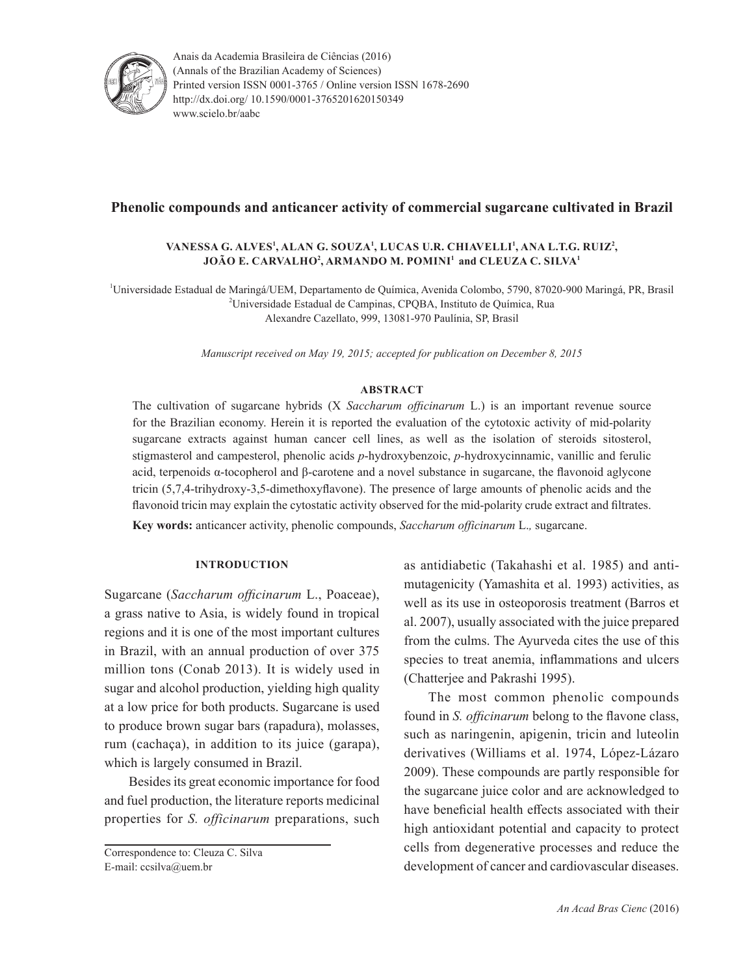

Anais da Academia Brasileira de Ciências (2016) (Annals of the Brazilian Academy of Sciences) Printed version ISSN 0001-3765 / Online version ISSN 1678-2690 http://dx.doi.org/ 10.1590/0001-3765201620150349 www.scielo.br/aabc

# **Phenolic compounds and anticancer activity of commercial sugarcane cultivated in Brazil**

## **Vanessa G. Alves<sup>1</sup> , Alan G. Souza<sup>1</sup> , Lucas U.R. Chiavelli<sup>1</sup> , Ana L.T.G. Ruiz<sup>2</sup> , João E. Carvalho<sup>2</sup> , Armando M. Pomini<sup>1</sup> and Cleuza C. Silva<sup>1</sup>**

1 Universidade Estadual de Maringá/UEM, Departamento de Química, Avenida Colombo, 5790, 87020-900 Maringá, PR, Brasil 2 Universidade Estadual de Campinas, CPQBA, Instituto de Química, Rua Alexandre Cazellato, 999, 13081-970 Paulínia, SP, Brasil

*Manuscript received on May 19, 2015; accepted for publication on December 8, 2015*

#### **ABSTRACT**

The cultivation of sugarcane hybrids (X *Saccharum officinarum* L.) is an important revenue source for the Brazilian economy. Herein it is reported the evaluation of the cytotoxic activity of mid-polarity sugarcane extracts against human cancer cell lines, as well as the isolation of steroids sitosterol, stigmasterol and campesterol, phenolic acids *p*-hydroxybenzoic, *p*-hydroxycinnamic, vanillic and ferulic acid, terpenoids α-tocopherol and β-carotene and a novel substance in sugarcane, the flavonoid aglycone tricin (5,7,4-trihydroxy-3,5-dimethoxyflavone). The presence of large amounts of phenolic acids and the flavonoid tricin may explain the cytostatic activity observed for the mid-polarity crude extract and filtrates.

**Key words:** anticancer activity, phenolic compounds, *Saccharum officinarum* L.*,* sugarcane.

## **INTRODUCTION**

Sugarcane (*Saccharum officinarum* L., Poaceae), a grass native to Asia, is widely found in tropical regions and it is one of the most important cultures in Brazil, with an annual production of over 375 million tons (Conab 2013). It is widely used in sugar and alcohol production, yielding high quality at a low price for both products. Sugarcane is used to produce brown sugar bars (rapadura), molasses, rum (cachaça), in addition to its juice (garapa), which is largely consumed in Brazil.

Besides its great economic importance for food and fuel production, the literature reports medicinal properties for *S. officinarum* preparations, such

Correspondence to: Cleuza C. Silva E-mail: ccsilva@uem.br

as antidiabetic (Takahashi et al. 1985) and antimutagenicity (Yamashita et al. 1993) activities, as well as its use in osteoporosis treatment (Barros et al. 2007), usually associated with the juice prepared from the culms. The Ayurveda cites the use of this species to treat anemia, inflammations and ulcers (Chatterjee and Pakrashi 1995).

The most common phenolic compounds found in *S. officinarum* belong to the flavone class, such as naringenin, apigenin, tricin and luteolin derivatives (Williams et al. 1974, López-Lázaro 2009). These compounds are partly responsible for the sugarcane juice color and are acknowledged to have beneficial health effects associated with their high antioxidant potential and capacity to protect cells from degenerative processes and reduce the development of cancer and cardiovascular diseases.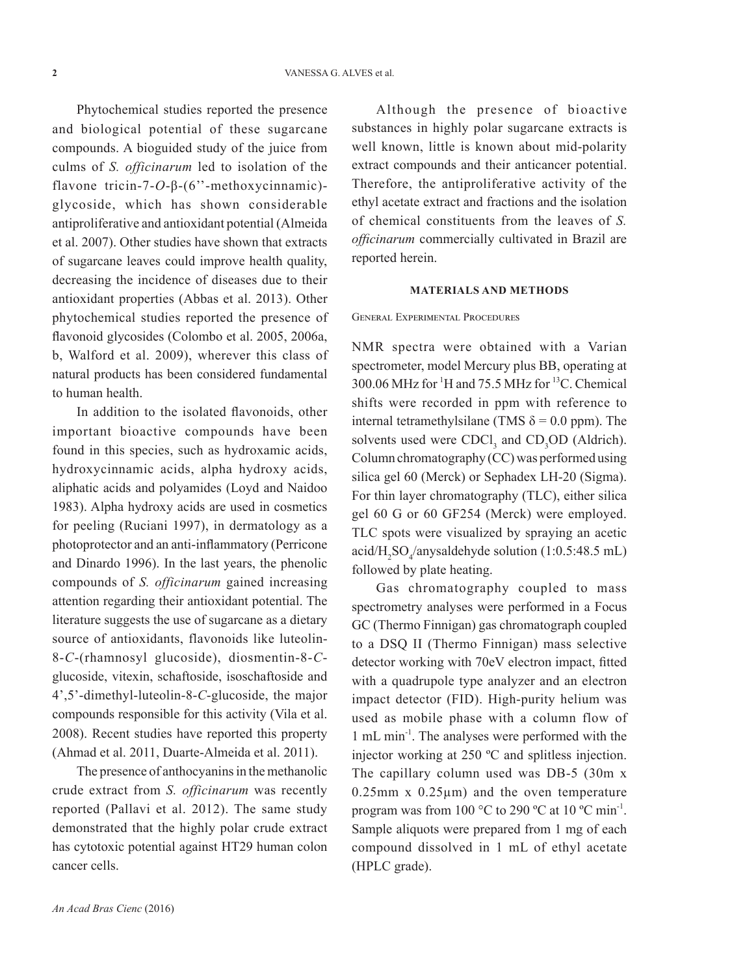Phytochemical studies reported the presence and biological potential of these sugarcane compounds. A bioguided study of the juice from culms of *S. officinarum* led to isolation of the flavone tricin-7-*O*-β-(6''-methoxycinnamic) glycoside, which has shown considerable antiproliferative and antioxidant potential (Almeida et al. 2007). Other studies have shown that extracts of sugarcane leaves could improve health quality, decreasing the incidence of diseases due to their antioxidant properties (Abbas et al. 2013). Other phytochemical studies reported the presence of flavonoid glycosides (Colombo et al. 2005, 2006a, b, Walford et al. 2009), wherever this class of natural products has been considered fundamental to human health.

In addition to the isolated flavonoids, other important bioactive compounds have been found in this species, such as hydroxamic acids, hydroxycinnamic acids, alpha hydroxy acids, aliphatic acids and polyamides (Loyd and Naidoo 1983). Alpha hydroxy acids are used in cosmetics for peeling (Ruciani 1997), in dermatology as a photoprotector and an anti-inflammatory (Perricone and Dinardo 1996). In the last years, the phenolic compounds of *S. officinarum* gained increasing attention regarding their antioxidant potential. The literature suggests the use of sugarcane as a dietary source of antioxidants, flavonoids like luteolin-8-*C*-(rhamnosyl glucoside), diosmentin-8-*C*glucoside, vitexin, schaftoside, isoschaftoside and 4',5'-dimethyl-luteolin-8-*C*-glucoside, the major compounds responsible for this activity (Vila et al. 2008). Recent studies have reported this property (Ahmad et al. 2011, Duarte-Almeida et al. 2011).

The presence of anthocyanins in the methanolic crude extract from *S. officinarum* was recently reported (Pallavi et al. 2012). The same study demonstrated that the highly polar crude extract has cytotoxic potential against HT29 human colon cancer cells.

Although the presence of bioactive substances in highly polar sugarcane extracts is well known, little is known about mid-polarity extract compounds and their anticancer potential. Therefore, the antiproliferative activity of the ethyl acetate extract and fractions and the isolation of chemical constituents from the leaves of *S. officinarum* commercially cultivated in Brazil are reported herein.

### **MATERIALS AND METHODS**

#### General Experimental Procedures

NMR spectra were obtained with a Varian spectrometer, model Mercury plus BB, operating at  $300.06$  MHz for <sup>1</sup>H and 75.5 MHz for <sup>13</sup>C. Chemical shifts were recorded in ppm with reference to internal tetramethylsilane (TMS  $\delta$  = 0.0 ppm). The solvents used were  $CDCl<sub>3</sub>$  and  $CD<sub>3</sub>OD$  (Aldrich). Column chromatography (CC) was performed using silica gel 60 (Merck) or Sephadex LH-20 (Sigma). For thin layer chromatography (TLC), either silica gel 60 G or 60 GF254 (Merck) were employed. TLC spots were visualized by spraying an acetic acid/ $H_2SO_4$ /anysaldehyde solution (1:0.5:48.5 mL) followed by plate heating.

Gas chromatography coupled to mass spectrometry analyses were performed in a Focus GC (Thermo Finnigan) gas chromatograph coupled to a DSQ II (Thermo Finnigan) mass selective detector working with 70eV electron impact, fitted with a quadrupole type analyzer and an electron impact detector (FID). High-purity helium was used as mobile phase with a column flow of 1 mL min-1. The analyses were performed with the injector working at 250 ºC and splitless injection. The capillary column used was DB-5 (30m x  $0.25$ mm x  $0.25 \mu$ m) and the oven temperature program was from  $100^{\circ}$ C to  $290^{\circ}$ C at  $10^{\circ}$ C min<sup>-1</sup>. Sample aliquots were prepared from 1 mg of each compound dissolved in 1 mL of ethyl acetate (HPLC grade).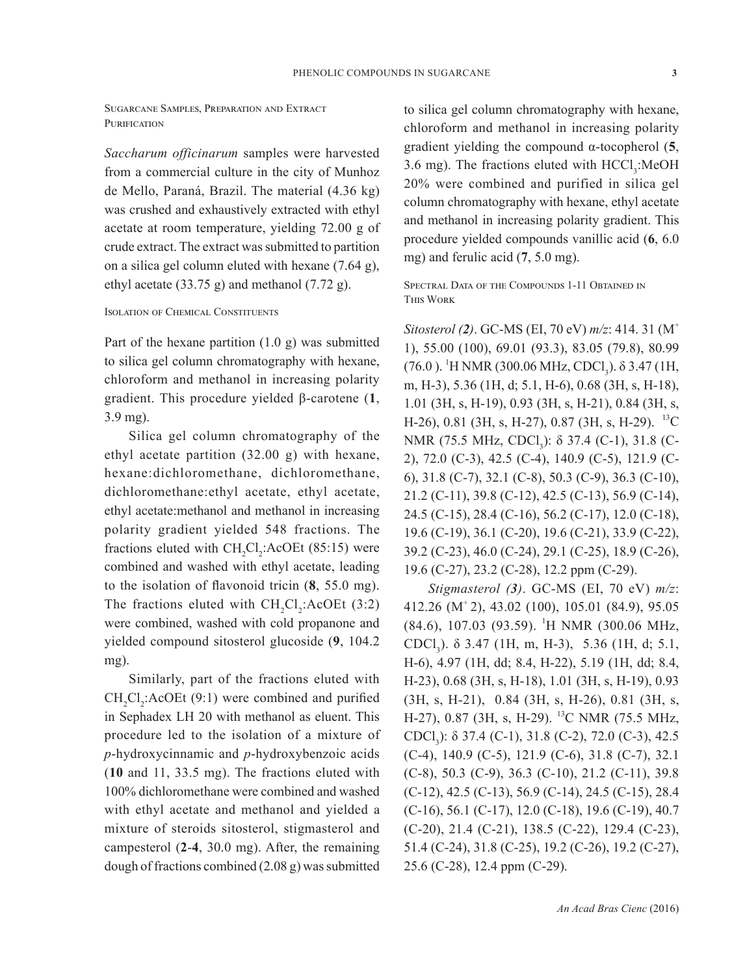Sugarcane Samples, Preparation and Extract PURIFICATION

*Saccharum officinarum* samples were harvested from a commercial culture in the city of Munhoz de Mello, Paraná, Brazil. The material (4.36 kg) was crushed and exhaustively extracted with ethyl acetate at room temperature, yielding 72.00 g of crude extract. The extract was submitted to partition on a silica gel column eluted with hexane (7.64 g), ethyl acetate  $(33.75 \text{ g})$  and methanol  $(7.72 \text{ g})$ .

### Isolation of Chemical Constituents

Part of the hexane partition  $(1.0 \text{ g})$  was submitted to silica gel column chromatography with hexane, chloroform and methanol in increasing polarity gradient. This procedure yielded β-carotene (**1**, 3.9 mg).

Silica gel column chromatography of the ethyl acetate partition (32.00 g) with hexane, hexane:dichloromethane, dichloromethane, dichloromethane:ethyl acetate, ethyl acetate, ethyl acetate:methanol and methanol in increasing polarity gradient yielded 548 fractions. The fractions eluted with  $CH_2Cl_2$ :AcOEt (85:15) were combined and washed with ethyl acetate, leading to the isolation of flavonoid tricin (**8**, 55.0 mg). The fractions eluted with  $CH_2Cl_2$ :AcOEt (3:2) were combined, washed with cold propanone and yielded compound sitosterol glucoside (**9**, 104.2 mg).

Similarly, part of the fractions eluted with  $CH_2Cl_2$ :AcOEt (9:1) were combined and purified in Sephadex LH 20 with methanol as eluent. This procedure led to the isolation of a mixture of *p*-hydroxycinnamic and *p*-hydroxybenzoic acids (**10** and 11, 33.5 mg). The fractions eluted with 100% dichloromethane were combined and washed with ethyl acetate and methanol and yielded a mixture of steroids sitosterol, stigmasterol and campesterol (**2**-**4**, 30.0 mg). After, the remaining dough of fractions combined (2.08 g) was submitted

to silica gel column chromatography with hexane, chloroform and methanol in increasing polarity gradient yielding the compound α-tocopherol (**5**, 3.6 mg). The fractions eluted with  $HCCl<sub>3</sub>:MeOH$ 20% were combined and purified in silica gel column chromatography with hexane, ethyl acetate and methanol in increasing polarity gradient. This procedure yielded compounds vanillic acid (**6**, 6.0 mg) and ferulic acid (**7**, 5.0 mg).

Spectral Data of the Compounds 1-11 Obtained in This Work

*Sitosterol (2)*. GC-MS (EI, 70 eV) *m/z*: 414. 31 (M<sup>+</sup> 1), 55.00 (100), 69.01 (93.3), 83.05 (79.8), 80.99 (76.0). <sup>1</sup>H NMR (300.06 MHz, CDCl<sub>3</sub>). δ 3.47 (1H, m, H-3), 5.36 (1H, d; 5.1, H-6), 0.68 (3H, s, H-18), 1.01 (3H, s, H-19), 0.93 (3H, s, H-21), 0.84 (3H, s, H-26), 0.81 (3H, s, H-27), 0.87 (3H, s, H-29). <sup>13</sup>C NMR (75.5 MHz, CDCl<sub>3</sub>): δ 37.4 (C-1), 31.8 (C-2), 72.0 (C-3), 42.5 (C-4), 140.9 (C-5), 121.9 (C-6), 31.8 (C-7), 32.1 (C-8), 50.3 (C-9), 36.3 (C-10), 21.2 (C-11), 39.8 (C-12), 42.5 (C-13), 56.9 (C-14), 24.5 (C-15), 28.4 (C-16), 56.2 (C-17), 12.0 (C-18), 19.6 (C-19), 36.1 (C-20), 19.6 (C-21), 33.9 (C-22), 39.2 (C-23), 46.0 (C-24), 29.1 (C-25), 18.9 (C-26), 19.6 (C-27), 23.2 (C-28), 12.2 ppm (C-29).

*Stigmasterol (3)*. GC-MS (EI, 70 eV) *m/z*: 412.26 (M+ 2), 43.02 (100), 105.01 (84.9), 95.05 (84.6), 107.03 (93.59). <sup>1</sup> H NMR (300.06 MHz, CDCl3 ). δ 3.47 (1H, m, H-3), 5.36 (1H, d; 5.1, H-6), 4.97 (1H, dd; 8.4, H-22), 5.19 (1H, dd; 8.4, H-23), 0.68 (3H, s, H-18), 1.01 (3H, s, H-19), 0.93 (3H, s, H-21), 0.84 (3H, s, H-26), 0.81 (3H, s, H-27), 0.87 (3H, s, H-29). <sup>13</sup>C NMR (75.5 MHz, CDCl<sub>3</sub>): δ 37.4 (C-1), 31.8 (C-2), 72.0 (C-3), 42.5 (C-4), 140.9 (C-5), 121.9 (C-6), 31.8 (C-7), 32.1 (C-8), 50.3 (C-9), 36.3 (C-10), 21.2 (C-11), 39.8 (C-12), 42.5 (C-13), 56.9 (C-14), 24.5 (C-15), 28.4 (C-16), 56.1 (C-17), 12.0 (C-18), 19.6 (C-19), 40.7 (C-20), 21.4 (C-21), 138.5 (C-22), 129.4 (C-23), 51.4 (C-24), 31.8 (C-25), 19.2 (C-26), 19.2 (C-27), 25.6 (C-28), 12.4 ppm (C-29).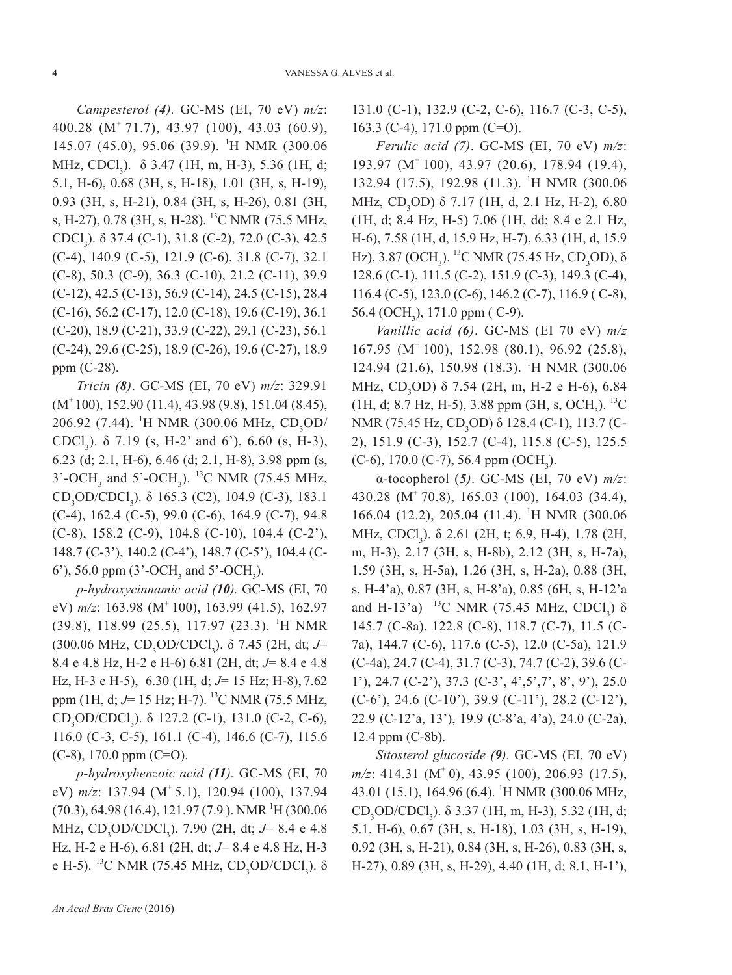*Campesterol (4).* GC-MS (EI, 70 eV) *m/z*: 400.28 (M+ 71.7), 43.97 (100), 43.03 (60.9), 145.07 (45.0), 95.06 (39.9). <sup>1</sup>H NMR (300.06 MHz, CDCl<sub>3</sub>).  $\delta$  3.47 (1H, m, H-3), 5.36 (1H, d; 5.1, H-6), 0.68 (3H, s, H-18), 1.01 (3H, s, H-19), 0.93 (3H, s, H-21), 0.84 (3H, s, H-26), 0.81 (3H, s, H-27), 0.78 (3H, s, H-28). 13C NMR (75.5 MHz, CDCl<sub>3</sub>). δ 37.4 (C-1), 31.8 (C-2), 72.0 (C-3), 42.5 (C-4), 140.9 (C-5), 121.9 (C-6), 31.8 (C-7), 32.1 (C-8), 50.3 (C-9), 36.3 (C-10), 21.2 (C-11), 39.9 (C-12), 42.5 (C-13), 56.9 (C-14), 24.5 (C-15), 28.4 (C-16), 56.2 (C-17), 12.0 (C-18), 19.6 (C-19), 36.1 (C-20), 18.9 (C-21), 33.9 (C-22), 29.1 (C-23), 56.1 (C-24), 29.6 (C-25), 18.9 (C-26), 19.6 (C-27), 18.9 ppm (C-28).

*Tricin (8)*. GC-MS (EI, 70 eV) *m/z*: 329.91  $(M<sup>+</sup> 100)$ , 152.90 (11.4), 43.98 (9.8), 151.04 (8.45), 206.92 (7.44). <sup>1</sup>H NMR (300.06 MHz, CD<sub>3</sub>OD/ CDCl<sub>3</sub>).  $\delta$  7.19 (s, H-2' and 6'), 6.60 (s, H-3), 6.23 (d; 2.1, H-6), 6.46 (d; 2.1, H-8), 3.98 ppm (s, 3'-OCH<sub>3</sub> and 5'-OCH<sub>3</sub>). <sup>13</sup>C NMR (75.45 MHz,  $CD_3OD/CDCl_3$ ). δ 165.3 (C2), 104.9 (C-3), 183.1 (C-4), 162.4 (C-5), 99.0 (C-6), 164.9 (C-7), 94.8 (C-8), 158.2 (C-9), 104.8 (C-10), 104.4 (C-2'), 148.7 (C-3'), 140.2 (C-4'), 148.7 (C-5'), 104.4 (C-6'), 56.0 ppm (3'-OCH<sub>3</sub> and 5'-OCH<sub>3</sub>).

*p-hydroxycinnamic acid (10).* GC-MS (EI, 70 eV)  $m/z$ : 163.98 (M<sup>+</sup> 100), 163.99 (41.5), 162.97 (39.8), 118.99 (25.5), 117.97 (23.3). <sup>1</sup>H NMR (300.06 MHz, CD<sub>3</sub>OD/CDCl<sub>3</sub>). δ 7.45 (2H, dt; J= 8.4 e 4.8 Hz, H-2 e H-6) 6.81 (2H, dt; *J*= 8.4 e 4.8 Hz, H-3 e H-5), 6.30 (1H, d; *J*= 15 Hz; H-8), 7.62 ppm (1H, d; *J*= 15 Hz; H-7). 13C NMR (75.5 MHz,  $CD_3OD/CDCl_3$ ). δ 127.2 (C-1), 131.0 (C-2, C-6), 116.0 (C-3, C-5), 161.1 (C-4), 146.6 (C-7), 115.6  $(C-8)$ , 170.0 ppm  $(C=O)$ .

*p-hydroxybenzoic acid (11).* GC-MS (EI, 70 eV)  $m/z$ : 137.94 (M<sup>+</sup> 5.1), 120.94 (100), 137.94 (70.3), 64.98 (16.4), 121.97 (7.9). NMR<sup>1</sup>H (300.06 MHz, CD<sub>3</sub>OD/CDCl<sub>3</sub>). 7.90 (2H, dt; *J*= 8.4 e 4.8 Hz, H-2 e H-6), 6.81 (2H, dt; *J*= 8.4 e 4.8 Hz, H-3 e H-5). <sup>13</sup>C NMR (75.45 MHz, CD<sub>3</sub>OD/CDCl<sub>3</sub>). δ 131.0 (C-1), 132.9 (C-2, C-6), 116.7 (C-3, C-5), 163.3 (C-4), 171.0 ppm (C=O).

*Ferulic acid (7)*. GC-MS (EI, 70 eV) *m/z*: 193.97 (M+ 100), 43.97 (20.6), 178.94 (19.4), 132.94 (17.5), 192.98 (11.3). <sup>1</sup>H NMR (300.06 MHz, CD<sub>3</sub>OD) δ 7.17 (1H, d, 2.1 Hz, H-2), 6.80 (1H, d; 8.4 Hz, H-5) 7.06 (1H, dd; 8.4 e 2.1 Hz, H-6), 7.58 (1H, d, 15.9 Hz, H-7), 6.33 (1H, d, 15.9 Hz), 3.87 (OCH<sub>3</sub>). <sup>13</sup>C NMR (75.45 Hz, CD<sub>3</sub>OD), δ 128.6 (C-1), 111.5 (C-2), 151.9 (C-3), 149.3 (C-4), 116.4 (C-5), 123.0 (C-6), 146.2 (C-7), 116.9 ( C-8), 56.4 (OCH<sub>3</sub>), 171.0 ppm (C-9).

*Vanillic acid (6)*. GC-MS (EI 70 eV) *m/z* 167.95 (M+ 100), 152.98 (80.1), 96.92 (25.8), 124.94 (21.6), 150.98 (18.3). <sup>1</sup>H NMR (300.06 MHz, CD<sub>3</sub>OD)  $\delta$  7.54 (2H, m, H-2 e H-6), 6.84  $(1H, d; 8.7 Hz, H-5)$ , 3.88 ppm  $(3H, s, OCH<sub>3</sub>)$ . <sup>13</sup>C NMR (75.45 Hz, CD<sub>3</sub>OD) δ 128.4 (C-1), 113.7 (C-2), 151.9 (C-3), 152.7 (C-4), 115.8 (C-5), 125.5  $(C-6)$ , 170.0  $(C-7)$ , 56.4 ppm  $(OCH<sub>3</sub>)$ .

α-tocopherol (*5)*. GC-MS (EI, 70 eV) *m/z*: 430.28 (M+ 70.8), 165.03 (100), 164.03 (34.4), 166.04 (12.2), 205.04 (11.4). <sup>1</sup> H NMR (300.06 MHz, CDCl<sub>3</sub>). δ 2.61 (2H, t; 6.9, H-4), 1.78 (2H, m, H-3), 2.17 (3H, s, H-8b), 2.12 (3H, s, H-7a), 1.59 (3H, s, H-5a), 1.26 (3H, s, H-2a), 0.88 (3H, s, H-4'a), 0.87 (3H, s, H-8'a), 0.85 (6H, s, H-12'a and H-13'a) <sup>13</sup>C NMR (75.45 MHz, CDCl<sub>3</sub>)  $\delta$ 145.7 (C-8a), 122.8 (C-8), 118.7 (C-7), 11.5 (C-7a), 144.7 (C-6), 117.6 (C-5), 12.0 (C-5a), 121.9 (C-4a), 24.7 (C-4), 31.7 (C-3), 74.7 (C-2), 39.6 (C-1'), 24.7 (C-2'), 37.3 (C-3', 4',5',7', 8', 9'), 25.0 (C-6'), 24.6 (C-10'), 39.9 (C-11'), 28.2 (C-12'), 22.9 (C-12'a, 13'), 19.9 (C-8'a, 4'a), 24.0 (C-2a), 12.4 ppm (C-8b).

*Sitosterol glucoside (9).* GC-MS (EI, 70 eV) *m/z*: 414.31 (M<sup>+</sup> 0), 43.95 (100), 206.93 (17.5), 43.01 (15.1), 164.96 (6.4). <sup>1</sup> H NMR (300.06 MHz, CD<sub>3</sub>OD/CDCl<sub>3</sub>).  $\delta$  3.37 (1H, m, H-3), 5.32 (1H, d; 5.1, H-6), 0.67 (3H, s, H-18), 1.03 (3H, s, H-19), 0.92 (3H, s, H-21), 0.84 (3H, s, H-26), 0.83 (3H, s, H-27), 0.89 (3H, s, H-29), 4.40 (1H, d; 8.1, H-1'),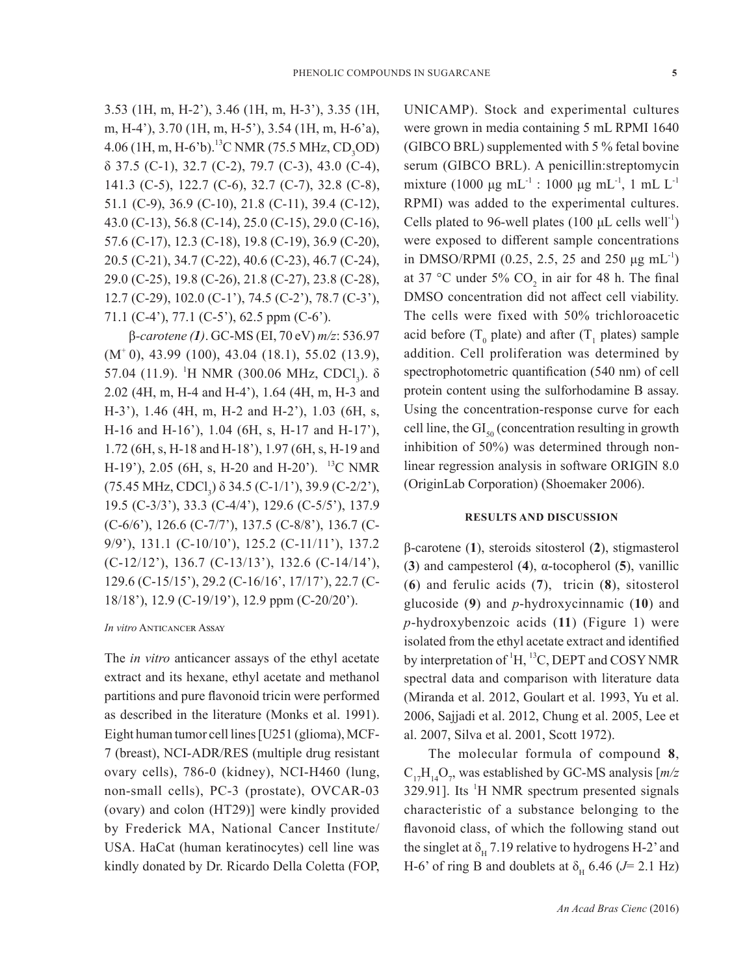3.53 (1H, m, H-2'), 3.46 (1H, m, H-3'), 3.35 (1H, m, H-4'), 3.70 (1H, m, H-5'), 3.54 (1H, m, H-6'a),  $4.06$  (1H, m, H-6'b).<sup>13</sup>C NMR (75.5 MHz, CD<sub>3</sub>OD) δ 37.5 (C-1), 32.7 (C-2), 79.7 (C-3), 43.0 (C-4), 141.3 (C-5), 122.7 (C-6), 32.7 (C-7), 32.8 (C-8), 51.1 (C-9), 36.9 (C-10), 21.8 (C-11), 39.4 (C-12), 43.0 (C-13), 56.8 (C-14), 25.0 (C-15), 29.0 (C-16), 57.6 (C-17), 12.3 (C-18), 19.8 (C-19), 36.9 (C-20), 20.5 (C-21), 34.7 (C-22), 40.6 (C-23), 46.7 (C-24), 29.0 (C-25), 19.8 (C-26), 21.8 (C-27), 23.8 (C-28), 12.7 (C-29), 102.0 (C-1'), 74.5 (C-2'), 78.7 (C-3'), 71.1 (C-4'), 77.1 (C-5'), 62.5 ppm (C-6').

β*-carotene (1)*. GC-MS (EI, 70 eV) *m/z*: 536.97  $(M<sup>+</sup> 0)$ , 43.99 (100), 43.04 (18.1), 55.02 (13.9), 57.04 (11.9). <sup>1</sup>H NMR (300.06 MHz, CDCl<sub>3</sub>). δ 2.02 (4H, m, H-4 and H-4'), 1.64 (4H, m, H-3 and H-3'), 1.46 (4H, m, H-2 and H-2'), 1.03 (6H, s, H-16 and H-16'), 1.04 (6H, s, H-17 and H-17'), 1.72 (6H, s, H-18 and H-18'), 1.97 (6H, s, H-19 and H-19'), 2.05 (6H, s, H-20 and H-20'). <sup>13</sup>C NMR (75.45 MHz, CDCl<sub>3</sub>)  $\delta$  34.5 (C-1/1'), 39.9 (C-2/2'), 19.5 (C-3/3'), 33.3 (C-4/4'), 129.6 (C-5/5'), 137.9 (C-6/6'), 126.6 (C-7/7'), 137.5 (C-8/8'), 136.7 (C-9/9'), 131.1 (C-10/10'), 125.2 (C-11/11'), 137.2 (C-12/12'), 136.7 (C-13/13'), 132.6 (C-14/14'), 129.6 (C-15/15'), 29.2 (C-16/16', 17/17'), 22.7 (C-18/18'), 12.9 (C-19/19'), 12.9 ppm (C-20/20').

#### *In vitro* Anticancer Assay

The *in vitro* anticancer assays of the ethyl acetate extract and its hexane, ethyl acetate and methanol partitions and pure flavonoid tricin were performed as described in the literature (Monks et al. 1991). Eight human tumor cell lines [U251 (glioma), MCF-7 (breast), NCI-ADR/RES (multiple drug resistant ovary cells), 786-0 (kidney), NCI-H460 (lung, non-small cells), PC-3 (prostate), OVCAR-03 (ovary) and colon (HT29)] were kindly provided by Frederick MA, National Cancer Institute/ USA. HaCat (human keratinocytes) cell line was kindly donated by Dr. Ricardo Della Coletta (FOP, UNICAMP). Stock and experimental cultures were grown in media containing 5 mL RPMI 1640 (GIBCO BRL) supplemented with 5 % fetal bovine serum (GIBCO BRL). A penicillin:streptomycin mixture (1000 μg mL<sup>-1</sup> : 1000 μg mL<sup>-1</sup>, 1 mL L<sup>-1</sup> RPMI) was added to the experimental cultures. Cells plated to 96-well plates (100  $\mu$ L cells well<sup>-1</sup>) were exposed to different sample concentrations in DMSO/RPMI (0.25, 2.5, 25 and 250  $\mu$ g mL<sup>-1</sup>) at 37 °C under 5%  $CO_2$  in air for 48 h. The final DMSO concentration did not affect cell viability. The cells were fixed with 50% trichloroacetic acid before  $(T_0$  plate) and after  $(T_1$  plates) sample addition. Cell proliferation was determined by spectrophotometric quantification (540 nm) of cell protein content using the sulforhodamine B assay. Using the concentration-response curve for each cell line, the  $GI<sub>50</sub>$  (concentration resulting in growth inhibition of 50%) was determined through nonlinear regression analysis in software ORIGIN 8.0 (OriginLab Corporation) (Shoemaker 2006).

### **RESULTS AND DISCUSSION**

β-carotene (**1**), steroids sitosterol (**2**), stigmasterol (**3**) and campesterol (**4**), α-tocopherol (**5**), vanillic (**6**) and ferulic acids (**7**), tricin (**8**), sitosterol glucoside (**9**) and *p*-hydroxycinnamic (**10**) and *p*-hydroxybenzoic acids (**11**) (Figure 1) were isolated from the ethyl acetate extract and identified by interpretation of <sup>1</sup>H, <sup>13</sup>C, DEPT and COSY NMR spectral data and comparison with literature data (Miranda et al. 2012, Goulart et al. 1993, Yu et al. 2006, Sajjadi et al. 2012, Chung et al. 2005, Lee et al. 2007, Silva et al. 2001, Scott 1972).

The molecular formula of compound **8**,  $C_{17}H_{14}O_7$ , was established by GC-MS analysis  $[m/2]$  $329.91$ ]. Its <sup>1</sup>H NMR spectrum presented signals characteristic of a substance belonging to the flavonoid class, of which the following stand out the singlet at  $\delta_{\rm H}$  7.19 relative to hydrogens H-2' and H-6' of ring B and doublets at  $\delta_{\rm H}$  6.46 ( $J$ = 2.1 Hz)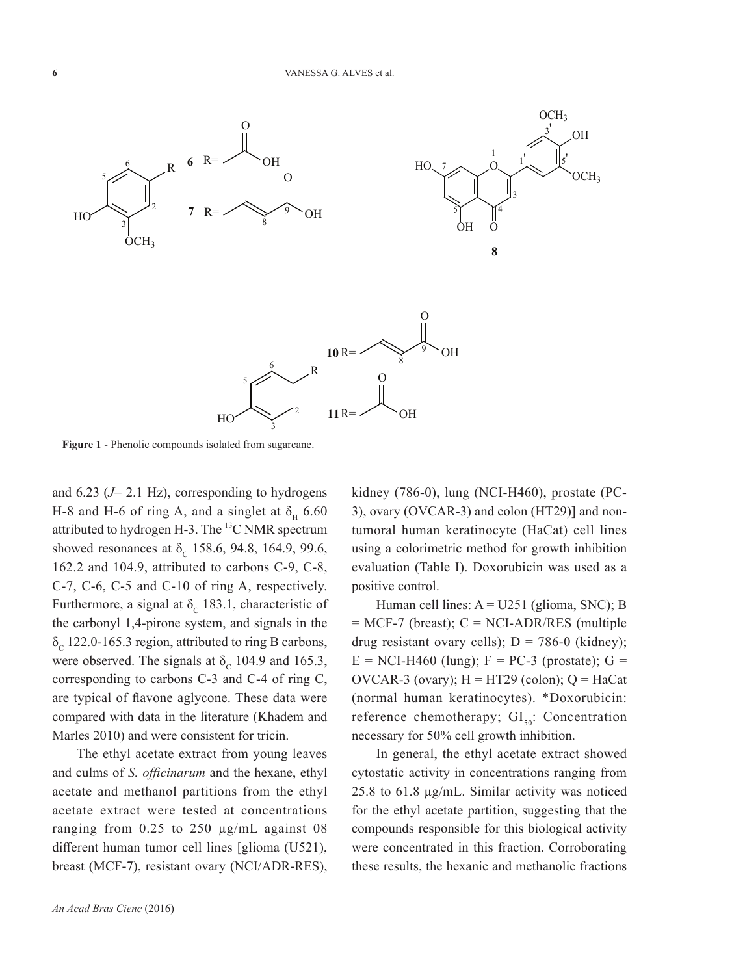

**Figure 1** - Phenolic compounds isolated from sugarcane.

and 6.23 (*J*= 2.1 Hz), corresponding to hydrogens H-8 and H-6 of ring A, and a singlet at  $\delta_{\text{H}}$  6.60 attributed to hydrogen H-3. The <sup>13</sup>C NMR spectrum showed resonances at  $\delta_c$  158.6, 94.8, 164.9, 99.6, 162.2 and 104.9, attributed to carbons C-9, C-8, C-7, C-6, C-5 and C-10 of ring A, respectively. Furthermore, a signal at  $\delta_c$  183.1, characteristic of the carbonyl 1,4-pirone system, and signals in the  $\delta_c$  122.0-165.3 region, attributed to ring B carbons, were observed. The signals at  $\delta_c$  104.9 and 165.3, corresponding to carbons C-3 and C-4 of ring C, are typical of flavone aglycone. These data were compared with data in the literature (Khadem and Marles 2010) and were consistent for tricin.

The ethyl acetate extract from young leaves and culms of *S. officinarum* and the hexane, ethyl acetate and methanol partitions from the ethyl acetate extract were tested at concentrations ranging from 0.25 to 250 µg/mL against 08 different human tumor cell lines [glioma (U521), breast (MCF-7), resistant ovary (NCI/ADR-RES), kidney (786-0), lung (NCI-H460), prostate (PC-3), ovary (OVCAR-3) and colon (HT29)] and nontumoral human keratinocyte (HaCat) cell lines using a colorimetric method for growth inhibition evaluation (Table I). Doxorubicin was used as a positive control.

Human cell lines:  $A = U251$  (glioma, SNC); B  $=$  MCF-7 (breast); C  $=$  NCI-ADR/RES (multiple drug resistant ovary cells);  $D = 786-0$  (kidney);  $E = NCI-H460$  (lung);  $F = PC-3$  (prostate);  $G =$ OVCAR-3 (ovary);  $H = HT29$  (colon);  $Q = Hacat$ (normal human keratinocytes). \*Doxorubicin: reference chemotherapy;  $GI_{50}$ : Concentration necessary for 50% cell growth inhibition.

In general, the ethyl acetate extract showed cytostatic activity in concentrations ranging from 25.8 to 61.8 µg/mL. Similar activity was noticed for the ethyl acetate partition, suggesting that the compounds responsible for this biological activity were concentrated in this fraction. Corroborating these results, the hexanic and methanolic fractions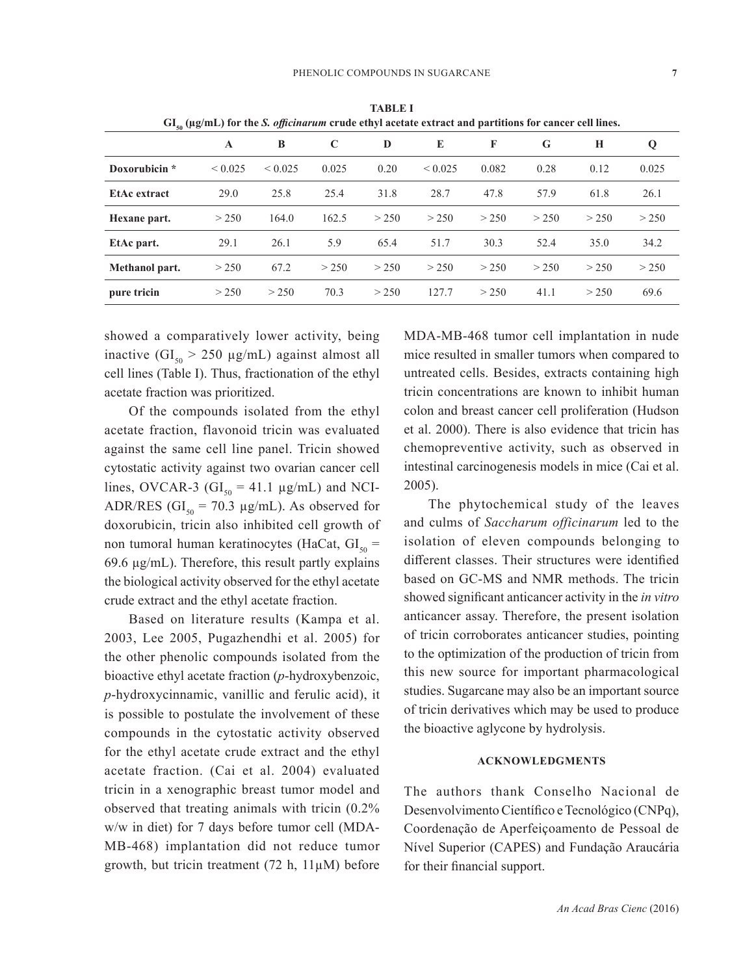| $GI_{so}$ ( $\mu$ g/mL) for the <i>S. officinarum</i> crude ethyl acetate extract and partitions for cancer cell lines. |              |              |       |       |             |       |       |       |       |
|-------------------------------------------------------------------------------------------------------------------------|--------------|--------------|-------|-------|-------------|-------|-------|-------|-------|
|                                                                                                                         | A            | B            | C     | D     | E           | F     | G     | H     | Q     |
| Doxorubicin *                                                                                                           | ${}_{0.025}$ | ${}_{0.025}$ | 0.025 | 0.20  | ${}< 0.025$ | 0.082 | 0.28  | 0.12  | 0.025 |
| EtAc extract                                                                                                            | 29.0         | 25.8         | 25.4  | 31.8  | 28.7        | 47.8  | 57.9  | 61.8  | 26.1  |
| Hexane part.                                                                                                            | > 250        | 164.0        | 162.5 | > 250 | > 250       | > 250 | > 250 | > 250 | > 250 |
| EtAc part.                                                                                                              | 29.1         | 26.1         | 5.9   | 65.4  | 51.7        | 30.3  | 52.4  | 35.0  | 34.2  |
| Methanol part.                                                                                                          | > 250        | 67.2         | > 250 | > 250 | > 250       | > 250 | > 250 | > 250 | > 250 |
| pure tricin                                                                                                             | > 250        | > 250        | 70.3  | > 250 | 127.7       | > 250 | 41.1  | > 250 | 69.6  |

**TABLE I**

showed a comparatively lower activity, being inactive  $(GI_{50} > 250 \mu g/mL)$  against almost all cell lines (Table I). Thus, fractionation of the ethyl acetate fraction was prioritized.

Of the compounds isolated from the ethyl acetate fraction, flavonoid tricin was evaluated against the same cell line panel. Tricin showed cytostatic activity against two ovarian cancer cell lines, OVCAR-3 ( $GI_{50} = 41.1 \mu g/mL$ ) and NCI-ADR/RES (GI<sub>50</sub> = 70.3 µg/mL). As observed for doxorubicin, tricin also inhibited cell growth of non tumoral human keratinocytes (HaCat,  $GI_{so}$  = 69.6 µg/mL). Therefore, this result partly explains the biological activity observed for the ethyl acetate crude extract and the ethyl acetate fraction.

Based on literature results (Kampa et al. 2003, Lee 2005, Pugazhendhi et al. 2005) for the other phenolic compounds isolated from the bioactive ethyl acetate fraction (*p*-hydroxybenzoic, *p*-hydroxycinnamic, vanillic and ferulic acid), it is possible to postulate the involvement of these compounds in the cytostatic activity observed for the ethyl acetate crude extract and the ethyl acetate fraction. (Cai et al. 2004) evaluated tricin in a xenographic breast tumor model and observed that treating animals with tricin (0.2% w/w in diet) for 7 days before tumor cell (MDA-MB-468) implantation did not reduce tumor growth, but tricin treatment  $(72 \text{ h}, 11 \mu \text{M})$  before

MDA-MB-468 tumor cell implantation in nude mice resulted in smaller tumors when compared to untreated cells. Besides, extracts containing high tricin concentrations are known to inhibit human colon and breast cancer cell proliferation (Hudson et al. 2000). There is also evidence that tricin has chemopreventive activity, such as observed in intestinal carcinogenesis models in mice (Cai et al. 2005).

The phytochemical study of the leaves and culms of *Saccharum officinarum* led to the isolation of eleven compounds belonging to different classes. Their structures were identified based on GC-MS and NMR methods. The tricin showed significant anticancer activity in the *in vitro* anticancer assay. Therefore, the present isolation of tricin corroborates anticancer studies, pointing to the optimization of the production of tricin from this new source for important pharmacological studies. Sugarcane may also be an important source of tricin derivatives which may be used to produce the bioactive aglycone by hydrolysis.

## **ACKNOWLEDGMENTS**

The authors thank Conselho Nacional de Desenvolvimento Científico e Tecnológico (CNPq), Coordenação de Aperfeiçoamento de Pessoal de Nível Superior (CAPES) and Fundação Araucária for their financial support.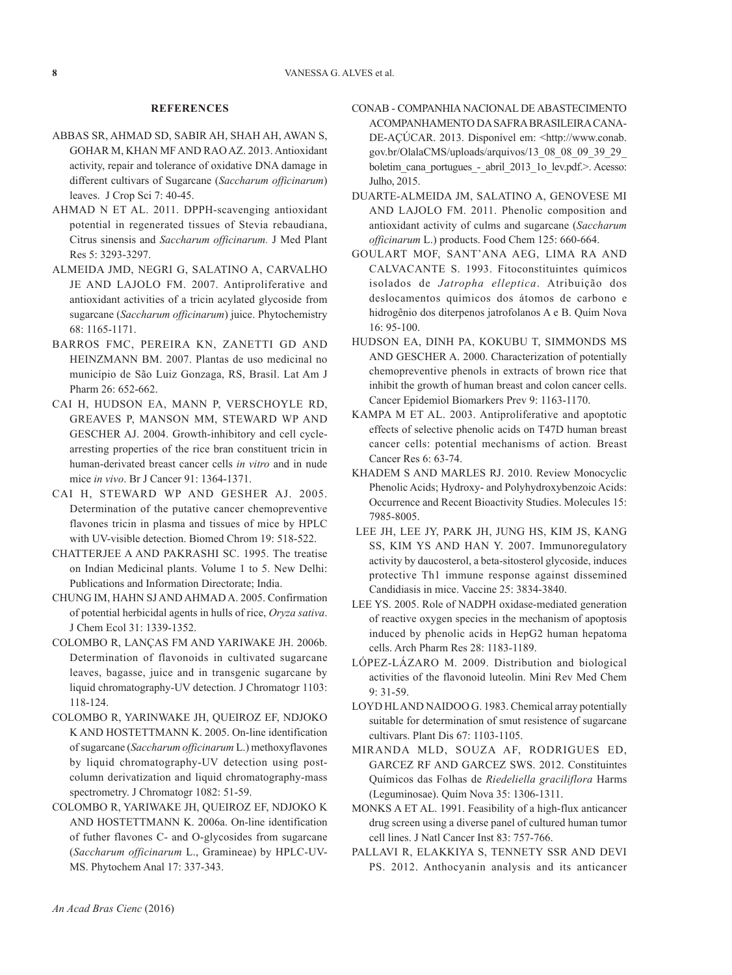#### **REFERENCES**

- ABBAS SR, AHMAD SD, SABIR AH, SHAH AH, AWAN S, GOHAR M, KHAN MF AND RAO AZ. 2013. Antioxidant activity, repair and tolerance of oxidative DNA damage in different cultivars of Sugarcane (*Saccharum officinarum*) leaves. J Crop Sci 7: 40-45.
- AHMAD N ET AL. 2011. DPPH-scavenging antioxidant potential in regenerated tissues of Stevia rebaudiana, Citrus sinensis and *Saccharum officinarum.* J Med Plant Res 5: 3293-3297.
- ALMEIDA JMD, NEGRI G, SALATINO A, CARVALHO JE AND LAJOLO FM. 2007. Antiproliferative and antioxidant activities of a tricin acylated glycoside from sugarcane (*Saccharum officinarum*) juice. Phytochemistry 68: 1165-1171.
- BARROS FMC, PEREIRA KN, ZANETTI GD AND HEINZMANN BM. 2007. Plantas de uso medicinal no município de São Luiz Gonzaga, RS, Brasil. Lat Am J Pharm 26: 652-662.
- CAI H, HUDSON EA, MANN P, VERSCHOYLE RD, GREAVES P, MANSON MM, STEWARD WP AND GESCHER AJ. 2004. Growth-inhibitory and cell cyclearresting properties of the rice bran constituent tricin in human-derivated breast cancer cells *in vitro* and in nude mice *in vivo*. Br J Cancer 91: 1364-1371.
- CAI H, STEWARD WP AND GESHER AJ. 2005. Determination of the putative cancer chemopreventive flavones tricin in plasma and tissues of mice by HPLC with UV-visible detection. Biomed Chrom 19: 518-522.
- CHATTERJEE A AND PAKRASHI SC. 1995. The treatise on Indian Medicinal plants. Volume 1 to 5. New Delhi: Publications and Information Directorate; India.
- CHUNG IM, HAHN SJ AND AHMAD A. 2005. Confirmation of potential herbicidal agents in hulls of rice, *Oryza sativa*. J Chem Ecol 31: 1339-1352.
- COLOMBO R, LANÇAS FM AND YARIWAKE JH. 2006b. Determination of flavonoids in cultivated sugarcane leaves, bagasse, juice and in transgenic sugarcane by liquid chromatography-UV detection. J Chromatogr 1103: 118-124.
- COLOMBO R, YARINWAKE JH, QUEIROZ EF, NDJOKO K AND HOSTETTMANN K. 2005. On-line identification of sugarcane (*Saccharum officinarum* L.) methoxyflavones by liquid chromatography-UV detection using postcolumn derivatization and liquid chromatography-mass spectrometry. J Chromatogr 1082: 51-59.
- COLOMBO R, YARIWAKE JH, QUEIROZ EF, NDJOKO K AND HOSTETTMANN K. 2006a. On-line identification of futher flavones C- and O-glycosides from sugarcane (*Saccharum officinarum* L., Gramineae) by HPLC-UV-MS. Phytochem Anal 17: 337-343.
- CONAB COMPANHIA NACIONAL DE ABASTECIMENTO ACOMPANHAMENTO DA SAFRA BRASILEIRA CANA-DE-AÇÚCAR. 2013. Disponível em: <http://www.conab. gov.br/OlalaCMS/uploads/arquivos/13\_08\_08\_09\_39\_29\_ boletim\_cana\_portugues\_-\_abril\_2013\_1o\_lev.pdf.>. Acesso: Julho, 2015.
- DUARTE-ALMEIDA JM, SALATINO A, GENOVESE MI AND LAJOLO FM. 2011. Phenolic composition and antioxidant activity of culms and sugarcane (*Saccharum officinarum* L.) products. Food Chem 125: 660-664.
- GOULART MOF, SANT'ANA AEG, LIMA RA AND CALVACANTE S. 1993. Fitoconstituintes químicos isolados de *Jatropha elleptica*. Atribuição dos deslocamentos químicos dos átomos de carbono e hidrogênio dos diterpenos jatrofolanos A e B. Quím Nova 16: 95-100.
- HUDSON EA, DINH PA, KOKUBU T, SIMMONDS MS AND GESCHER A. 2000. Characterization of potentially chemopreventive phenols in extracts of brown rice that inhibit the growth of human breast and colon cancer cells. Cancer Epidemiol Biomarkers Prev 9: 1163-1170.
- KAMPA M ET AL. 2003. Antiproliferative and apoptotic effects of selective phenolic acids on T47D human breast cancer cells: potential mechanisms of action*.* Breast Cancer Res 6: 63-74.
- KHADEM S AND MARLES RJ. 2010. Review Monocyclic Phenolic Acids; Hydroxy- and Polyhydroxybenzoic Acids: Occurrence and Recent Bioactivity Studies. Molecules 15: 7985-8005.
- LEE JH, LEE JY, PARK JH, JUNG HS, KIM JS, KANG SS, KIM YS AND HAN Y. 2007. Immunoregulatory activity by daucosterol, a beta-sitosterol glycoside, induces protective Th1 immune response against dissemined Candidiasis in mice. Vaccine 25: 3834-3840.
- LEE YS. 2005. Role of NADPH oxidase-mediated generation of reactive oxygen species in the mechanism of apoptosis induced by phenolic acids in HepG2 human hepatoma cells. Arch Pharm Res 28: 1183-1189.
- LÓPEZ-LÁZARO M. 2009. Distribution and biological activities of the flavonoid luteolin. Mini Rev Med Chem 9: 31-59.
- LOYD HL AND NAIDOO G. 1983. Chemical array potentially suitable for determination of smut resistence of sugarcane cultivars. Plant Dis 67: 1103-1105.
- MIRANDA MLD, SOUZA AF, RODRIGUES ED, GARCEZ RF AND GARCEZ SWS. 2012. Constituintes Químicos das Folhas de *Riedeliella graciliflora* Harms (Leguminosae). Quím Nova 35: 1306-1311.
- MONKS A ET AL. 1991. Feasibility of a high-flux anticancer drug screen using a diverse panel of cultured human tumor cell lines. J Natl Cancer Inst 83: 757-766.
- PALLAVI R, ELAKKIYA S, TENNETY SSR AND DEVI PS. 2012. Anthocyanin analysis and its anticancer